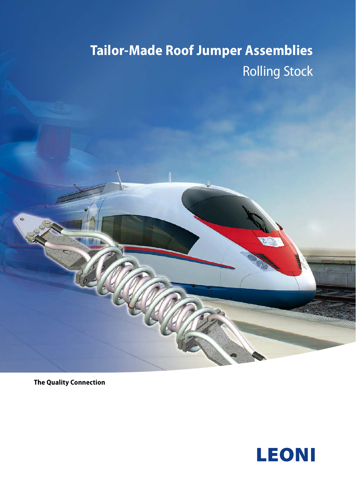# **Tailor-Made Roof Jumper Assemblies** Rolling Stock



**The Quality Connection**

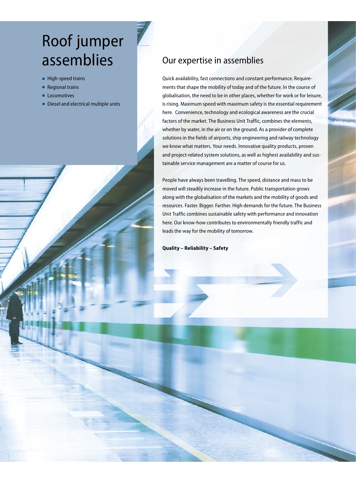# Roof jumper assemblies

- High-speed trains
- Regional trains
- Locomotives
- Diesel and electrical multiple units

## Our expertise in assemblies

Quick availability, fast connections and constant performance. Requirements that shape the mobility of today and of the future. In the course of globalisation, the need to be in other places, whether for work or for leisure, is rising. Maximum speed with maximum safety is the essential requirement here. Convenience, technology and ecological awareness are the crucial factors of the market. The Business Unit Traffic, combines the elements, whether by water, in the air or on the ground. As a provider of complete solutions in the fields of airports, ship engineering and railway technology we know what matters. Your needs. Innovative quality products, proven and project-related system solutions, as well as highest availability and sustainable service management are a matter of course for us.

People have always been travelling. The speed, distance and mass to be moved will steadily increase in the future. Public transportation grows along with the globalisation of the markets and the mobility of goods and resources. Faster. Bigger. Farther. High demands for the future. The Business Unit Traffic combines sustainable safety with performance and innovation here. Our know-how contributes to environmentally friendly traffic and leads the way for the mobility of tomorrow.

**Quality – Reliability – Safety**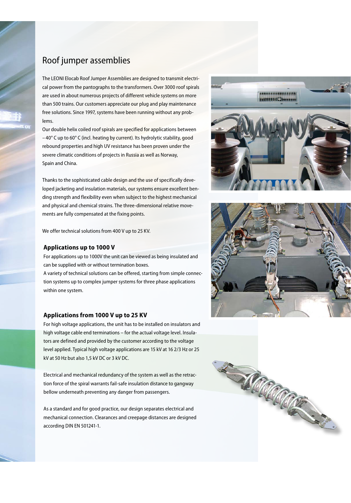## Roof jumper assemblies

The LEONI Elocab Roof Jumper Assemblies are designed to transmit electrical power from the pantographs to the transformers. Over 3000 roof spirals are used in about numerous projects of different vehicle systems on more than 500 trains. Our customers appreciate our plug and play maintenance free solutions. Since 1997, systems have been running without any problems.

Our double helix coiled roof spirals are specified for applications between – 40° C up to 60° C (incl. heating by current). Its hydrolytic stability, good rebound properties and high UV resistance has been proven under the severe climatic conditions of projects in Russia as well as Norway, Spain and China.

Thanks to the sophisticated cable design and the use of specifically developed jacketing and insulation materials, our systems ensure excellent bending strength and flexibility even when subject to the highest mechanical and physical and chemical strains. The three-dimensional relative movements are fully compensated at the fixing points.

We offer technical solutions from 400 V up to 25 KV.

#### **Applications up to 1000 V**

For applications up to 1000V the unit can be viewed as being insulated and can be supplied with or without termination boxes.

A variety of technical solutions can be offered, starting from simple connection systems up to complex jumper systems for three phase applications within one system.

#### **Applications from 1000 V up to 25 KV**

For high voltage applications, the unit has to be installed on insulators and high voltage cable end terminations – for the actual voltage level. Insulators are defined and provided by the customer according to the voltage level applied. Typical high voltage applications are 15 kV at 16 2/3 Hz or 25 kV at 50 Hz but also 1,5 kV DC or 3 kV DC.

Electrical and mechanical redundancy of the system as well as the retraction force of the spiral warrants fail-safe insulation distance to gangway bellow underneath preventing any danger from passengers.

As a standard and for good practice, our design separates electrical and mechanical connection. Clearances and creepage distances are designed according DIN EN 501241-1.





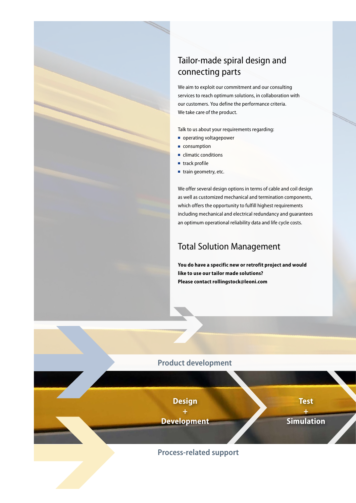# Tailor-made spiral design and connecting parts

We aim to exploit our commitment and our consulting services to reach optimum solutions, in collaboration with our customers. You define the performance criteria. We take care of the product.

Talk to us about your requirements regarding:

- operating voltagepower
- consumption
- climatic conditions
- track profile
- train geometry, etc.

We offer several design options in terms of cable and coil design as well as customized mechanical and termination components, which offers the opportunity to fulfill highest requirements including mechanical and electrical redundancy and guarantees an optimum operational reliability data and life cycle costs.

## Total Solution Management

**You do have a specific new or retrofit project and would like to use our tailor made solutions? Please contact rollingstock@leoni.com**

### **Product development**

**Design** 

**+ Development**  **Test +** 

**Simulation** 

### **Process-related support**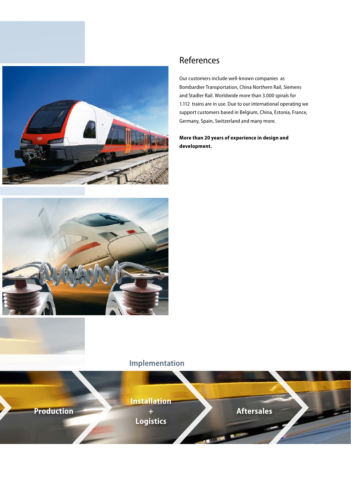

# References

Our customers include well-known companies as Bombardier Transportation, China Northern Rail, Siemens and Stadler Rail. Worldwide more than 3.000 spirals for 1.112 trains are in use. Due to our international operating we support customers based in Belgium, China, Estonia, France, Germany, Spain, Switzerland and many more.

#### **More than 20 years of experience in design and development.**



## **Implementation**